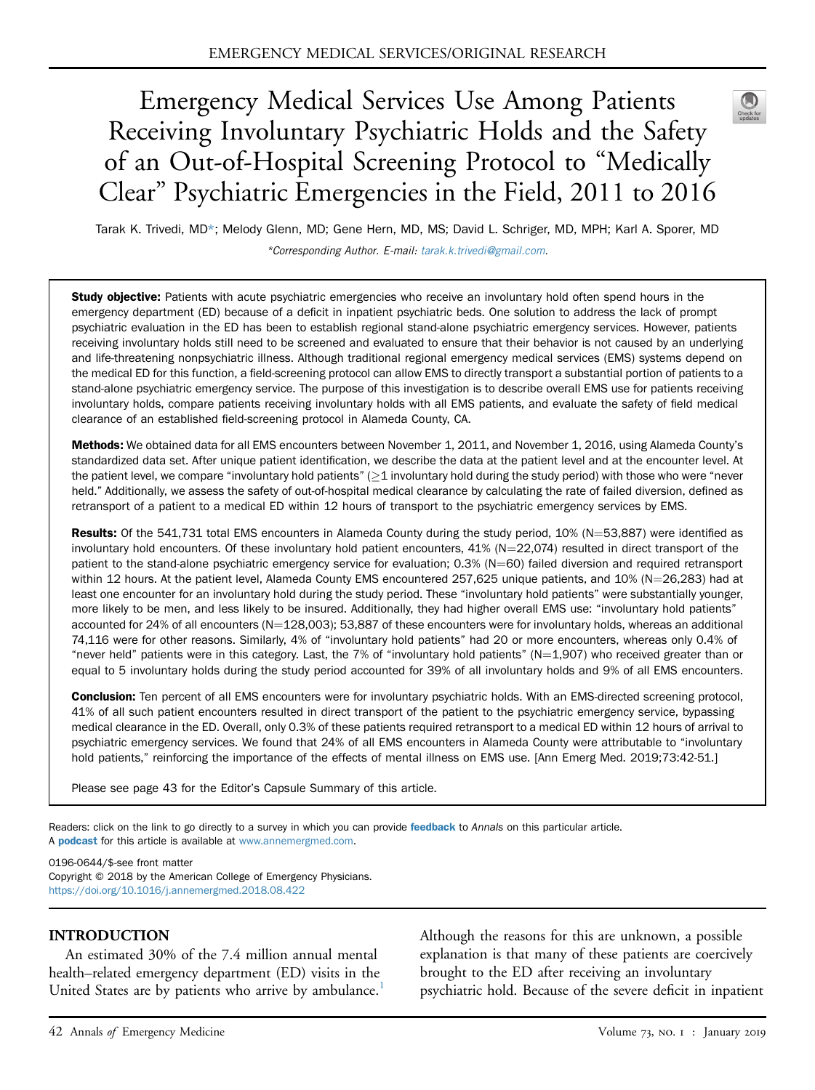# Emergency Medical Services Use Among Patients Receiving Involuntary Psychiatric Holds and the Safety of an Out-of-Hospital Screening Protocol to "Medically Clear" Psychiatric Emergencies in the Field, 2011 to 2016

Tarak K. Trivedi, MD\*; Melody Glenn, MD; Gene Hern, MD, MS; David L. Schriger, MD, MPH; Karl A. Sporer, MD \*Corresponding Author. E-mail: tarak.k.trivedi@gmail.com.

Study objective: Patients with acute psychiatric emergencies who receive an involuntary hold often spend hours in the emergency department (ED) because of a deficit in inpatient psychiatric beds. One solution to address the lack of prompt psychiatric evaluation in the ED has been to establish regional stand-alone psychiatric emergency services. However, patients receiving involuntary holds still need to be screened and evaluated to ensure that their behavior is not caused by an underlying and life-threatening nonpsychiatric illness. Although traditional regional emergency medical services (EMS) systems depend on the medical ED for this function, a field-screening protocol can allow EMS to directly transport a substantial portion of patients to a stand-alone psychiatric emergency service. The purpose of this investigation is to describe overall EMS use for patients receiving involuntary holds, compare patients receiving involuntary holds with all EMS patients, and evaluate the safety of field medical clearance of an established field-screening protocol in Alameda County, CA.

Methods: We obtained data for all EMS encounters between November 1, 2011, and November 1, 2016, using Alameda County's standardized data set. After unique patient identification, we describe the data at the patient level and at the encounter level. At the patient level, we compare "involuntary hold patients"  $(>1$  involuntary hold during the study period) with those who were "never held." Additionally, we assess the safety of out-of-hospital medical clearance by calculating the rate of failed diversion, defined as retransport of a patient to a medical ED within 12 hours of transport to the psychiatric emergency services by EMS.

**Results:** Of the 541,731 total EMS encounters in Alameda County during the study period,  $10\%$  (N=53,887) were identified as involuntary hold encounters. Of these involuntary hold patient encounters,  $41\%$  (N=22,074) resulted in direct transport of the patient to the stand-alone psychiatric emergency service for evaluation;  $0.3\%$  (N=60) failed diversion and required retransport within 12 hours. At the patient level, Alameda County EMS encountered 257,625 unique patients, and  $10\%$  (N=26,283) had at least one encounter for an involuntary hold during the study period. These "involuntary hold patients" were substantially younger, more likely to be men, and less likely to be insured. Additionally, they had higher overall EMS use: "involuntary hold patients" accounted for 24% of all encounters ( $N=128,003$ ); 53,887 of these encounters were for involuntary holds, whereas an additional 74,116 were for other reasons. Similarly, 4% of "involuntary hold patients" had 20 or more encounters, whereas only 0.4% of "never held" patients were in this category. Last, the 7% of "involuntary hold patients" (N=1,907) who received greater than or equal to 5 involuntary holds during the study period accounted for 39% of all involuntary holds and 9% of all EMS encounters.

Conclusion: Ten percent of all EMS encounters were for involuntary psychiatric holds. With an EMS-directed screening protocol, 41% of all such patient encounters resulted in direct transport of the patient to the psychiatric emergency service, bypassing medical clearance in the ED. Overall, only 0.3% of these patients required retransport to a medical ED within 12 hours of arrival to psychiatric emergency services. We found that 24% of all EMS encounters in Alameda County were attributable to "involuntary hold patients," reinforcing the importance of the effects of mental illness on EMS use. [Ann Emerg Med. 2019;73:42-51.]

Please see page 43 for the Editor's Capsule Summary of this article.

Readers: click on the link to go directly to a survey in which you can provide feedback to Annals on this particular article. A **podcast** for this article is available at www.annemergmed.com.

0196-0644/\$-see front matter Copyright © 2018 by the American College of Emergency Physicians. https://doi.org/10.1016/j.annemergmed.2018.08.422

#### INTRODUCTION

An estimated 30% of the 7.4 million annual mental health–related emergency department (ED) visits in the United States are by patients who arrive by ambulance.<sup>1</sup> Although the reasons for this are unknown, a possible explanation is that many of these patients are coercively brought to the ED after receiving an involuntary psychiatric hold. Because of the severe deficit in inpatient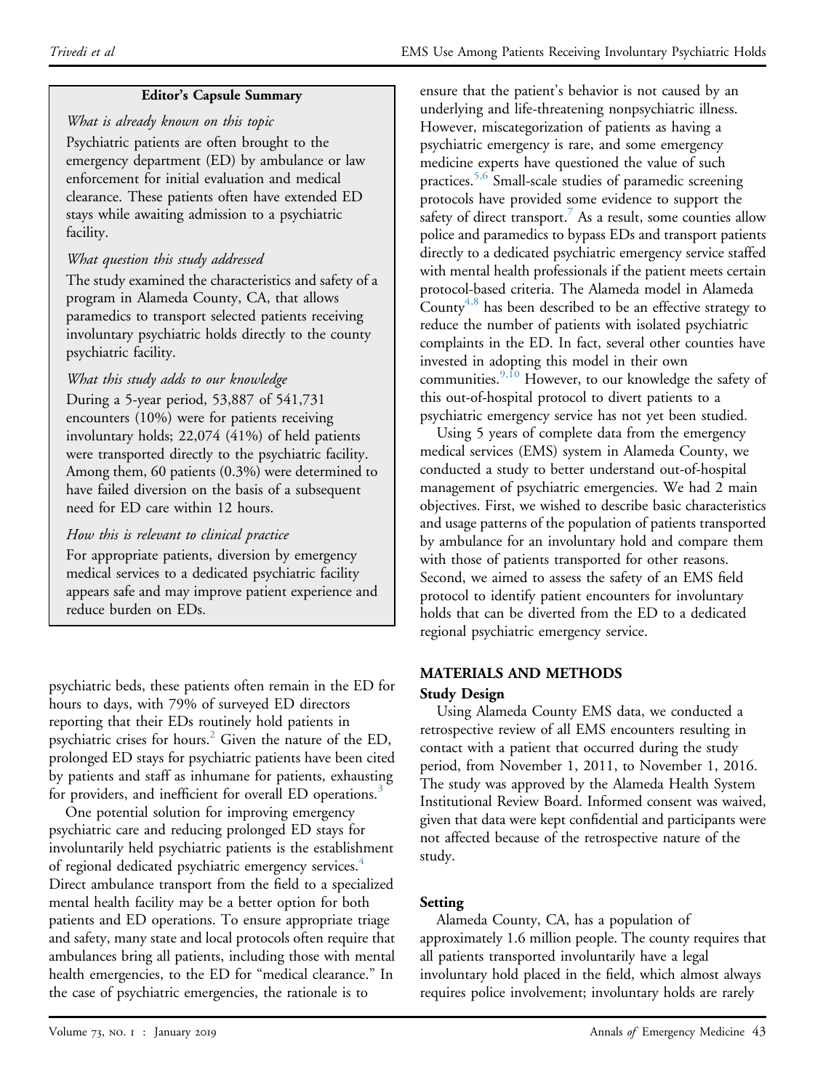# Editor's Capsule Summary

# What is already known on this topic

Psychiatric patients are often brought to the emergency department (ED) by ambulance or law enforcement for initial evaluation and medical clearance. These patients often have extended ED stays while awaiting admission to a psychiatric facility.

# What question this study addressed

The study examined the characteristics and safety of a program in Alameda County, CA, that allows paramedics to transport selected patients receiving involuntary psychiatric holds directly to the county psychiatric facility.

# What this study adds to our knowledge

During a 5-year period, 53,887 of 541,731 encounters (10%) were for patients receiving involuntary holds; 22,074 (41%) of held patients were transported directly to the psychiatric facility. Among them, 60 patients (0.3%) were determined to have failed diversion on the basis of a subsequent need for ED care within 12 hours.

# How this is relevant to clinical practice

For appropriate patients, diversion by emergency medical services to a dedicated psychiatric facility appears safe and may improve patient experience and reduce burden on EDs.

psychiatric beds, these patients often remain in the ED for hours to days, with 79% of surveyed ED directors reporting that their EDs routinely hold patients in psychiatric crises for hours. $^{2}$  Given the nature of the ED, prolonged ED stays for psychiatric patients have been cited by patients and staff as inhumane for patients, exhausting for providers, and inefficient for overall ED operations.<sup>3</sup>

One potential solution for improving emergency psychiatric care and reducing prolonged ED stays for involuntarily held psychiatric patients is the establishment of regional dedicated psychiatric emergency services.<sup>4</sup> Direct ambulance transport from the field to a specialized mental health facility may be a better option for both patients and ED operations. To ensure appropriate triage and safety, many state and local protocols often require that ambulances bring all patients, including those with mental health emergencies, to the ED for "medical clearance." In the case of psychiatric emergencies, the rationale is to

ensure that the patient's behavior is not caused by an underlying and life-threatening nonpsychiatric illness. However, miscategorization of patients as having a psychiatric emergency is rare, and some emergency medicine experts have questioned the value of such practices.<sup>5,6</sup> Small-scale studies of paramedic screening protocols have provided some evidence to support the safety of direct transport.<sup>7</sup> As a result, some counties allow police and paramedics to bypass EDs and transport patients directly to a dedicated psychiatric emergency service staffed with mental health professionals if the patient meets certain protocol-based criteria. The Alameda model in Alameda County<sup>4,8</sup> has been described to be an effective strategy to reduce the number of patients with isolated psychiatric complaints in the ED. In fact, several other counties have invested in adopting this model in their own communities.<sup>9,10</sup> However, to our knowledge the safety of this out-of-hospital protocol to divert patients to a psychiatric emergency service has not yet been studied.

Using 5 years of complete data from the emergency medical services (EMS) system in Alameda County, we conducted a study to better understand out-of-hospital management of psychiatric emergencies. We had 2 main objectives. First, we wished to describe basic characteristics and usage patterns of the population of patients transported by ambulance for an involuntary hold and compare them with those of patients transported for other reasons. Second, we aimed to assess the safety of an EMS field protocol to identify patient encounters for involuntary holds that can be diverted from the ED to a dedicated regional psychiatric emergency service.

# MATERIALS AND METHODS

## Study Design

Using Alameda County EMS data, we conducted a retrospective review of all EMS encounters resulting in contact with a patient that occurred during the study period, from November 1, 2011, to November 1, 2016. The study was approved by the Alameda Health System Institutional Review Board. Informed consent was waived, given that data were kept confidential and participants were not affected because of the retrospective nature of the study.

## Setting

Alameda County, CA, has a population of approximately 1.6 million people. The county requires that all patients transported involuntarily have a legal involuntary hold placed in the field, which almost always requires police involvement; involuntary holds are rarely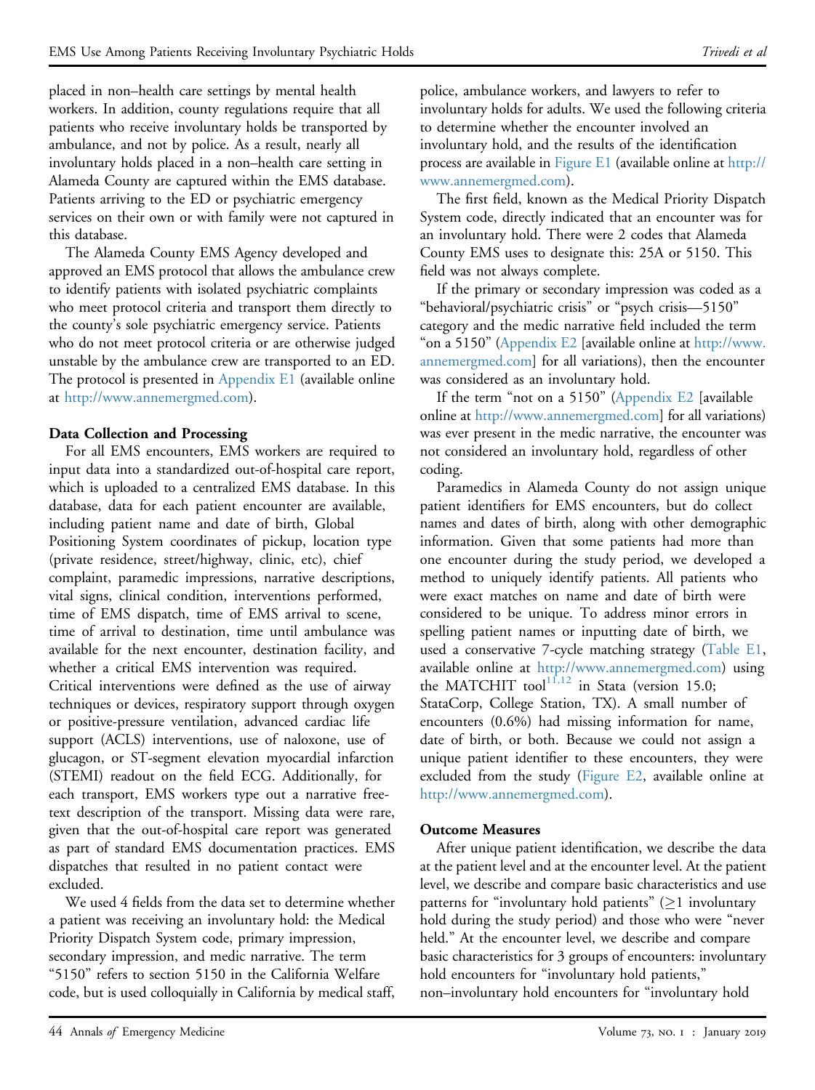placed in non–health care settings by mental health workers. In addition, county regulations require that all patients who receive involuntary holds be transported by ambulance, and not by police. As a result, nearly all involuntary holds placed in a non–health care setting in Alameda County are captured within the EMS database. Patients arriving to the ED or psychiatric emergency services on their own or with family were not captured in this database.

The Alameda County EMS Agency developed and approved an EMS protocol that allows the ambulance crew to identify patients with isolated psychiatric complaints who meet protocol criteria and transport them directly to the county's sole psychiatric emergency service. Patients who do not meet protocol criteria or are otherwise judged unstable by the ambulance crew are transported to an ED. The protocol is presented in Appendix E1 (available online at http://www.annemergmed.com).

## Data Collection and Processing

For all EMS encounters, EMS workers are required to input data into a standardized out-of-hospital care report, which is uploaded to a centralized EMS database. In this database, data for each patient encounter are available, including patient name and date of birth, Global Positioning System coordinates of pickup, location type (private residence, street/highway, clinic, etc), chief complaint, paramedic impressions, narrative descriptions, vital signs, clinical condition, interventions performed, time of EMS dispatch, time of EMS arrival to scene, time of arrival to destination, time until ambulance was available for the next encounter, destination facility, and whether a critical EMS intervention was required. Critical interventions were defined as the use of airway techniques or devices, respiratory support through oxygen or positive-pressure ventilation, advanced cardiac life support (ACLS) interventions, use of naloxone, use of glucagon, or ST-segment elevation myocardial infarction (STEMI) readout on the field ECG. Additionally, for each transport, EMS workers type out a narrative freetext description of the transport. Missing data were rare, given that the out-of-hospital care report was generated as part of standard EMS documentation practices. EMS dispatches that resulted in no patient contact were excluded.

We used 4 fields from the data set to determine whether a patient was receiving an involuntary hold: the Medical Priority Dispatch System code, primary impression, secondary impression, and medic narrative. The term "5150" refers to section 5150 in the California Welfare code, but is used colloquially in California by medical staff,

police, ambulance workers, and lawyers to refer to involuntary holds for adults. We used the following criteria to determine whether the encounter involved an involuntary hold, and the results of the identification process are available in Figure E1 (available online at http:// www.annemergmed.com).

The first field, known as the Medical Priority Dispatch System code, directly indicated that an encounter was for an involuntary hold. There were 2 codes that Alameda County EMS uses to designate this: 25A or 5150. This field was not always complete.

If the primary or secondary impression was coded as a "behavioral/psychiatric crisis" or "psych crisis—5150" category and the medic narrative field included the term "on a 5150" (Appendix E2 [available online at http://www. annemergmed.com] for all variations), then the encounter was considered as an involuntary hold.

If the term "not on a 5150" (Appendix E2 [available online at http://www.annemergmed.com] for all variations) was ever present in the medic narrative, the encounter was not considered an involuntary hold, regardless of other coding.

Paramedics in Alameda County do not assign unique patient identifiers for EMS encounters, but do collect names and dates of birth, along with other demographic information. Given that some patients had more than one encounter during the study period, we developed a method to uniquely identify patients. All patients who were exact matches on name and date of birth were considered to be unique. To address minor errors in spelling patient names or inputting date of birth, we used a conservative 7-cycle matching strategy (Table E1, available online at http://www.annemergmed.com) using the MATCHIT tool $1^{1,12}$  in Stata (version 15.0; StataCorp, College Station, TX). A small number of encounters (0.6%) had missing information for name, date of birth, or both. Because we could not assign a unique patient identifier to these encounters, they were excluded from the study (Figure E2, available online at http://www.annemergmed.com).

# Outcome Measures

After unique patient identification, we describe the data at the patient level and at the encounter level. At the patient level, we describe and compare basic characteristics and use patterns for "involuntary hold patients" ( $\geq$ 1 involuntary hold during the study period) and those who were "never held." At the encounter level, we describe and compare basic characteristics for 3 groups of encounters: involuntary hold encounters for "involuntary hold patients," non–involuntary hold encounters for "involuntary hold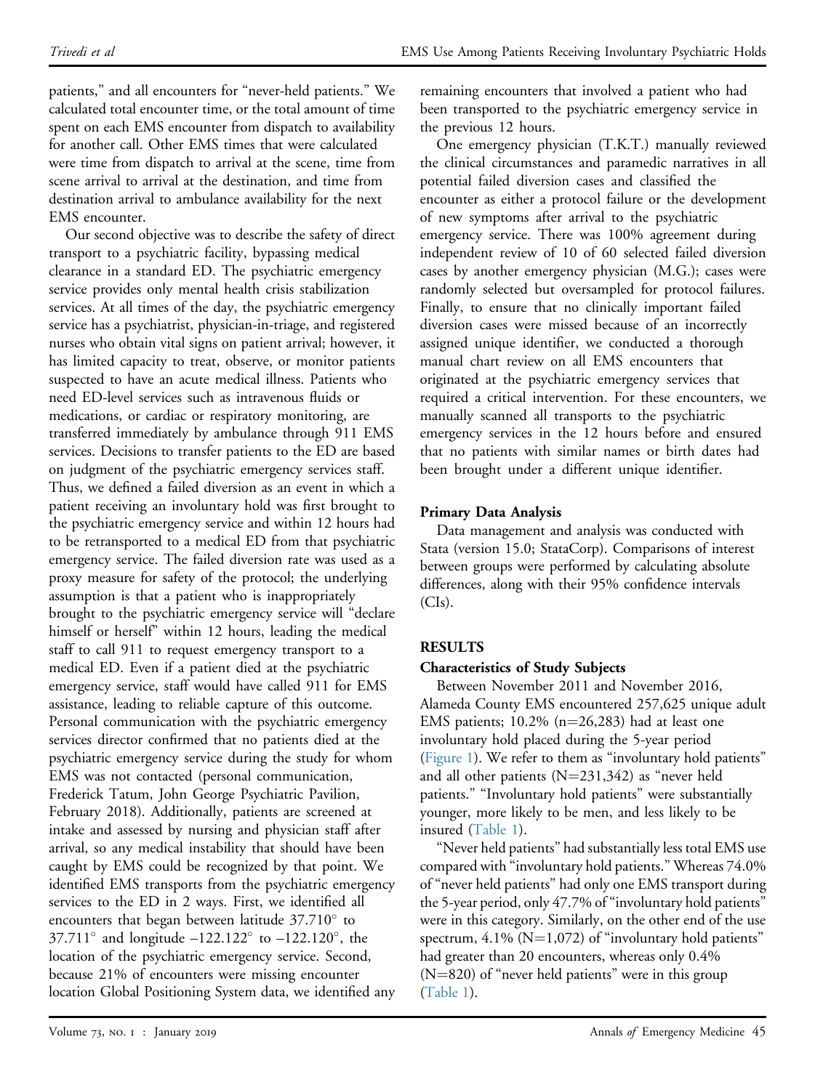patients," and all encounters for "never-held patients." We calculated total encounter time, or the total amount of time spent on each EMS encounter from dispatch to availability for another call. Other EMS times that were calculated were time from dispatch to arrival at the scene, time from scene arrival to arrival at the destination, and time from destination arrival to ambulance availability for the next EMS encounter.

Our second objective was to describe the safety of direct transport to a psychiatric facility, bypassing medical clearance in a standard ED. The psychiatric emergency service provides only mental health crisis stabilization services. At all times of the day, the psychiatric emergency service has a psychiatrist, physician-in-triage, and registered nurses who obtain vital signs on patient arrival; however, it has limited capacity to treat, observe, or monitor patients suspected to have an acute medical illness. Patients who need ED-level services such as intravenous fluids or medications, or cardiac or respiratory monitoring, are transferred immediately by ambulance through 911 EMS services. Decisions to transfer patients to the ED are based on judgment of the psychiatric emergency services staff. Thus, we defined a failed diversion as an event in which a patient receiving an involuntary hold was first brought to the psychiatric emergency service and within 12 hours had to be retransported to a medical ED from that psychiatric emergency service. The failed diversion rate was used as a proxy measure for safety of the protocol; the underlying assumption is that a patient who is inappropriately brought to the psychiatric emergency service will "declare himself or herself" within 12 hours, leading the medical staff to call 911 to request emergency transport to a medical ED. Even if a patient died at the psychiatric emergency service, staff would have called 911 for EMS assistance, leading to reliable capture of this outcome. Personal communication with the psychiatric emergency services director confirmed that no patients died at the psychiatric emergency service during the study for whom EMS was not contacted (personal communication, Frederick Tatum, John George Psychiatric Pavilion, February 2018). Additionally, patients are screened at intake and assessed by nursing and physician staff after arrival, so any medical instability that should have been caught by EMS could be recognized by that point. We identified EMS transports from the psychiatric emergency services to the ED in 2 ways. First, we identified all encounters that began between latitude  $37.710^{\circ}$  to 37.711 $^{\circ}$  and longitude  $-122.122^{\circ}$  to  $-122.120^{\circ}$ , the location of the psychiatric emergency service. Second, because 21% of encounters were missing encounter location Global Positioning System data, we identified any

remaining encounters that involved a patient who had been transported to the psychiatric emergency service in the previous 12 hours.

One emergency physician (T.K.T.) manually reviewed the clinical circumstances and paramedic narratives in all potential failed diversion cases and classified the encounter as either a protocol failure or the development of new symptoms after arrival to the psychiatric emergency service. There was 100% agreement during independent review of 10 of 60 selected failed diversion cases by another emergency physician (M.G.); cases were randomly selected but oversampled for protocol failures. Finally, to ensure that no clinically important failed diversion cases were missed because of an incorrectly assigned unique identifier, we conducted a thorough manual chart review on all EMS encounters that originated at the psychiatric emergency services that required a critical intervention. For these encounters, we manually scanned all transports to the psychiatric emergency services in the 12 hours before and ensured that no patients with similar names or birth dates had been brought under a different unique identifier.

#### Primary Data Analysis

Data management and analysis was conducted with Stata (version 15.0; StataCorp). Comparisons of interest between groups were performed by calculating absolute differences, along with their 95% confidence intervals  $(CIs).$ 

## RESULTS

#### Characteristics of Study Subjects

Between November 2011 and November 2016, Alameda County EMS encountered 257,625 unique adult EMS patients;  $10.2\%$  (n=26,283) had at least one involuntary hold placed during the 5-year period (Figure 1). We refer to them as "involuntary hold patients" and all other patients  $(N=231,342)$  as "never held patients." "Involuntary hold patients" were substantially younger, more likely to be men, and less likely to be insured (Table 1).

"Never held patients" had substantially less total EMS use compared with "involuntary hold patients." Whereas 74.0% of "never held patients" had only one EMS transport during the 5-year period, only 47.7% of "involuntary hold patients" were in this category. Similarly, on the other end of the use spectrum,  $4.1\%$  (N=1,072) of "involuntary hold patients" had greater than 20 encounters, whereas only 0.4%  $(N=820)$  of "never held patients" were in this group (Table 1).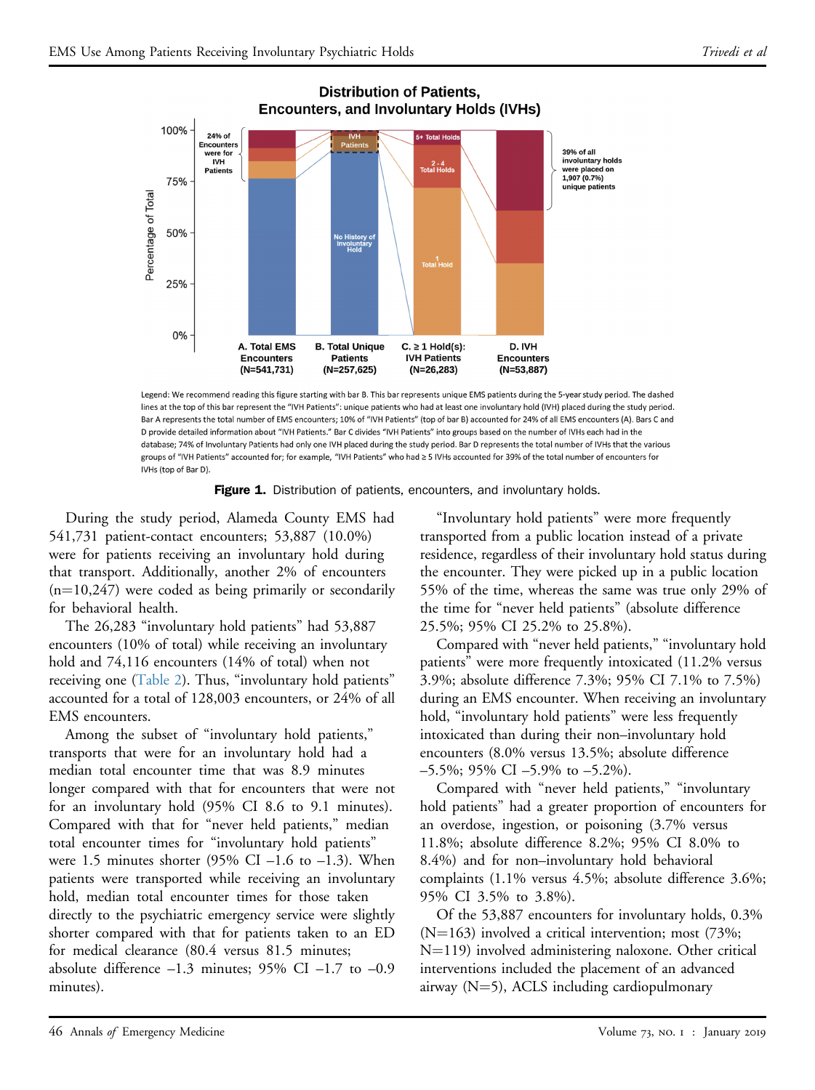

Legend: We recommend reading this figure starting with bar B. This bar represents unique EMS patients during the 5-year study period. The dashed lines at the top of this bar represent the "IVH Patients": unique patients who had at least one involuntary hold (IVH) placed during the study period. Bar A represents the total number of EMS encounters; 10% of "IVH Patients" (top of bar B) accounted for 24% of all EMS encounters (A). Bars C and D provide detailed information about "IVH Patients." Bar C divides "IVH Patients" into groups based on the number of IVHs each had in the database; 74% of Involuntary Patients had only one IVH placed during the study period. Bar D represents the total number of IVHs that the various groups of "IVH Patients" accounted for; for example, "IVH Patients" who had ≥ 5 IVHs accounted for 39% of the total number of encounters for IVHs (top of Bar D)

Figure 1. Distribution of patients, encounters, and involuntary holds.

During the study period, Alameda County EMS had 541,731 patient-contact encounters; 53,887 (10.0%) were for patients receiving an involuntary hold during that transport. Additionally, another 2% of encounters  $(n=10,247)$  were coded as being primarily or secondarily for behavioral health.

The 26,283 "involuntary hold patients" had 53,887 encounters (10% of total) while receiving an involuntary hold and 74,116 encounters (14% of total) when not receiving one (Table 2). Thus, "involuntary hold patients" accounted for a total of 128,003 encounters, or 24% of all EMS encounters.

Among the subset of "involuntary hold patients," transports that were for an involuntary hold had a median total encounter time that was 8.9 minutes longer compared with that for encounters that were not for an involuntary hold (95% CI 8.6 to 9.1 minutes). Compared with that for "never held patients," median total encounter times for "involuntary hold patients" were 1.5 minutes shorter (95% CI  $-1.6$  to  $-1.3$ ). When patients were transported while receiving an involuntary hold, median total encounter times for those taken directly to the psychiatric emergency service were slightly shorter compared with that for patients taken to an ED for medical clearance (80.4 versus 81.5 minutes; absolute difference  $-1.3$  minutes; 95% CI  $-1.7$  to  $-0.9$ minutes).

"Involuntary hold patients" were more frequently transported from a public location instead of a private residence, regardless of their involuntary hold status during the encounter. They were picked up in a public location 55% of the time, whereas the same was true only 29% of the time for "never held patients" (absolute difference 25.5%; 95% CI 25.2% to 25.8%).

Compared with "never held patients," "involuntary hold patients" were more frequently intoxicated (11.2% versus 3.9%; absolute difference 7.3%; 95% CI 7.1% to 7.5%) during an EMS encounter. When receiving an involuntary hold, "involuntary hold patients" were less frequently intoxicated than during their non–involuntary hold encounters (8.0% versus 13.5%; absolute difference  $-5.5\%$ ; 95% CI  $-5.9\%$  to  $-5.2\%$ ).

Compared with "never held patients," "involuntary hold patients" had a greater proportion of encounters for an overdose, ingestion, or poisoning (3.7% versus 11.8%; absolute difference 8.2%; 95% CI 8.0% to 8.4%) and for non–involuntary hold behavioral complaints (1.1% versus 4.5%; absolute difference 3.6%; 95% CI 3.5% to 3.8%).

Of the 53,887 encounters for involuntary holds, 0.3%  $(N=163)$  involved a critical intervention; most (73%;  $N=119$ ) involved administering naloxone. Other critical interventions included the placement of an advanced airway  $(N=5)$ , ACLS including cardiopulmonary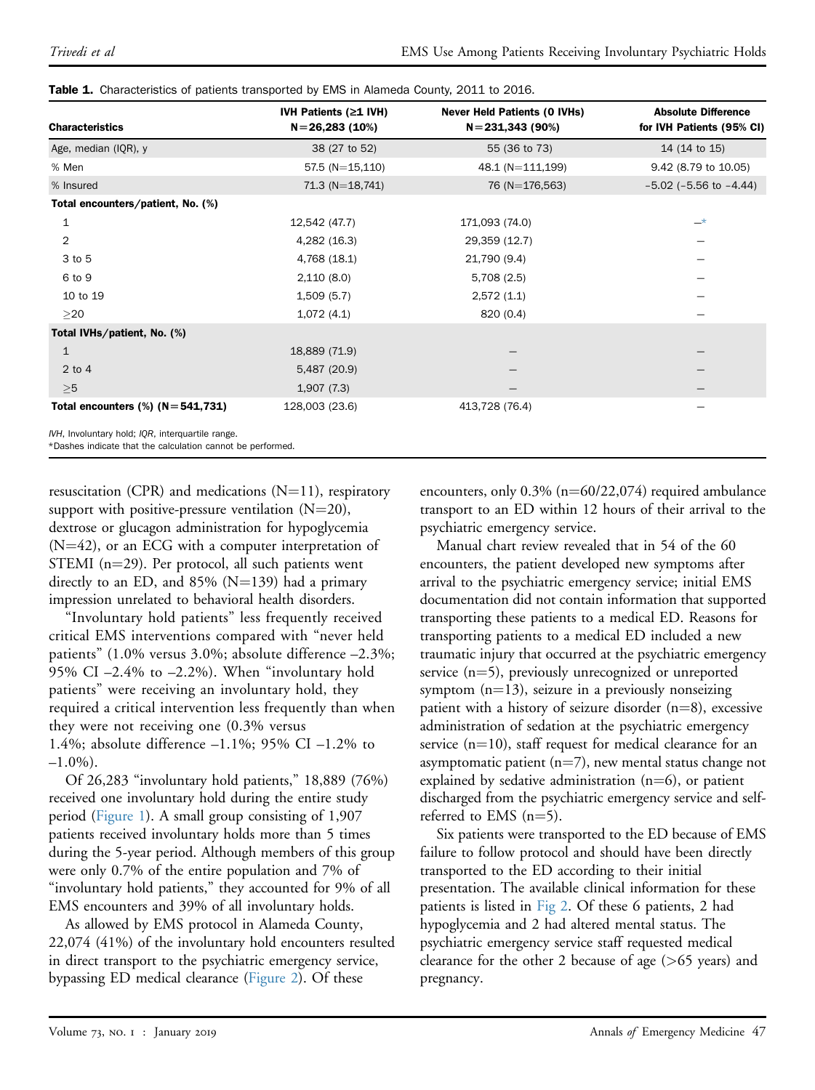| <b>Characteristics</b>                                                                                         | IVH Patients (≥1 IVH)<br>$N = 26,283(10\%)$ | <b>Never Held Patients (0 IVHs)</b><br>$N = 231,343(90%)$ | <b>Absolute Difference</b><br>for IVH Patients (95% CI) |  |
|----------------------------------------------------------------------------------------------------------------|---------------------------------------------|-----------------------------------------------------------|---------------------------------------------------------|--|
| Age, median (IQR), y                                                                                           | 38 (27 to 52)                               | 55 (36 to 73)                                             | 14 (14 to 15)                                           |  |
| % Men                                                                                                          | 57.5 ( $N=15,110$ )                         | 48.1 (N=111,199)                                          | 9.42 (8.79 to 10.05)                                    |  |
| % Insured                                                                                                      | 71.3 ( $N=18,741$ )                         | 76 (N=176,563)                                            | $-5.02$ ( $-5.56$ to $-4.44$ )                          |  |
| Total encounters/patient, No. (%)                                                                              |                                             |                                                           |                                                         |  |
| 1                                                                                                              | 12,542 (47.7)                               | 171,093 (74.0)                                            | $\rightarrow$                                           |  |
| $\overline{2}$                                                                                                 | 4,282 (16.3)                                | 29,359 (12.7)                                             |                                                         |  |
| 3 to 5                                                                                                         | 4,768 (18.1)                                | 21,790 (9.4)                                              |                                                         |  |
| 6 to 9                                                                                                         | 2,110(8.0)                                  | 5,708(2.5)                                                |                                                         |  |
| 10 to 19                                                                                                       | 1,509(5.7)                                  | 2,572(1.1)                                                |                                                         |  |
| $\geq$ 20                                                                                                      | 1,072(4.1)                                  | 820 (0.4)                                                 |                                                         |  |
| Total IVHs/patient, No. (%)                                                                                    |                                             |                                                           |                                                         |  |
| 1                                                                                                              | 18,889 (71.9)                               |                                                           |                                                         |  |
| $2$ to $4$                                                                                                     | 5,487 (20.9)                                |                                                           |                                                         |  |
| $\geq 5$                                                                                                       | 1,907(7.3)                                  |                                                           |                                                         |  |
| Total encounters $(\%)$ (N = 541,731)                                                                          | 128,003 (23.6)                              | 413,728 (76.4)                                            |                                                         |  |
| IVH, Involuntary hold; IQR, interquartile range.<br>*Dashes indicate that the calculation cannot be performed. |                                             |                                                           |                                                         |  |

Table 1. Characteristics of patients transported by EMS in Alameda County, 2011 to 2016.

resuscitation (CPR) and medications  $(N=11)$ , respiratory support with positive-pressure ventilation  $(N=20)$ , dextrose or glucagon administration for hypoglycemia  $(N=42)$ , or an ECG with a computer interpretation of STEMI ( $n=29$ ). Per protocol, all such patients went directly to an ED, and 85% ( $N=139$ ) had a primary impression unrelated to behavioral health disorders.

"Involuntary hold patients" less frequently received critical EMS interventions compared with "never held patients" (1.0% versus 3.0%; absolute difference –2.3%; 95% CI  $-2.4\%$  to  $-2.2\%$ ). When "involuntary hold patients" were receiving an involuntary hold, they required a critical intervention less frequently than when they were not receiving one (0.3% versus 1.4%; absolute difference –1.1%; 95% CI –1.2% to  $-1.0\%$ ).

Of 26,283 "involuntary hold patients," 18,889 (76%) received one involuntary hold during the entire study period (Figure 1). A small group consisting of 1,907 patients received involuntary holds more than 5 times during the 5-year period. Although members of this group were only 0.7% of the entire population and 7% of "involuntary hold patients," they accounted for 9% of all EMS encounters and 39% of all involuntary holds.

As allowed by EMS protocol in Alameda County, 22,074 (41%) of the involuntary hold encounters resulted in direct transport to the psychiatric emergency service, bypassing ED medical clearance (Figure 2). Of these

encounters, only  $0.3\%$  (n=60/22,074) required ambulance transport to an ED within 12 hours of their arrival to the psychiatric emergency service.

Manual chart review revealed that in 54 of the 60 encounters, the patient developed new symptoms after arrival to the psychiatric emergency service; initial EMS documentation did not contain information that supported transporting these patients to a medical ED. Reasons for transporting patients to a medical ED included a new traumatic injury that occurred at the psychiatric emergency service  $(n=5)$ , previously unrecognized or unreported symptom  $(n=13)$ , seizure in a previously nonseizing patient with a history of seizure disorder  $(n=8)$ , excessive administration of sedation at the psychiatric emergency service  $(n=10)$ , staff request for medical clearance for an asymptomatic patient  $(n=7)$ , new mental status change not explained by sedative administration  $(n=6)$ , or patient discharged from the psychiatric emergency service and selfreferred to EMS  $(n=5)$ .

Six patients were transported to the ED because of EMS failure to follow protocol and should have been directly transported to the ED according to their initial presentation. The available clinical information for these patients is listed in Fig 2. Of these 6 patients, 2 had hypoglycemia and 2 had altered mental status. The psychiatric emergency service staff requested medical clearance for the other 2 because of age  $(>65$  years) and pregnancy.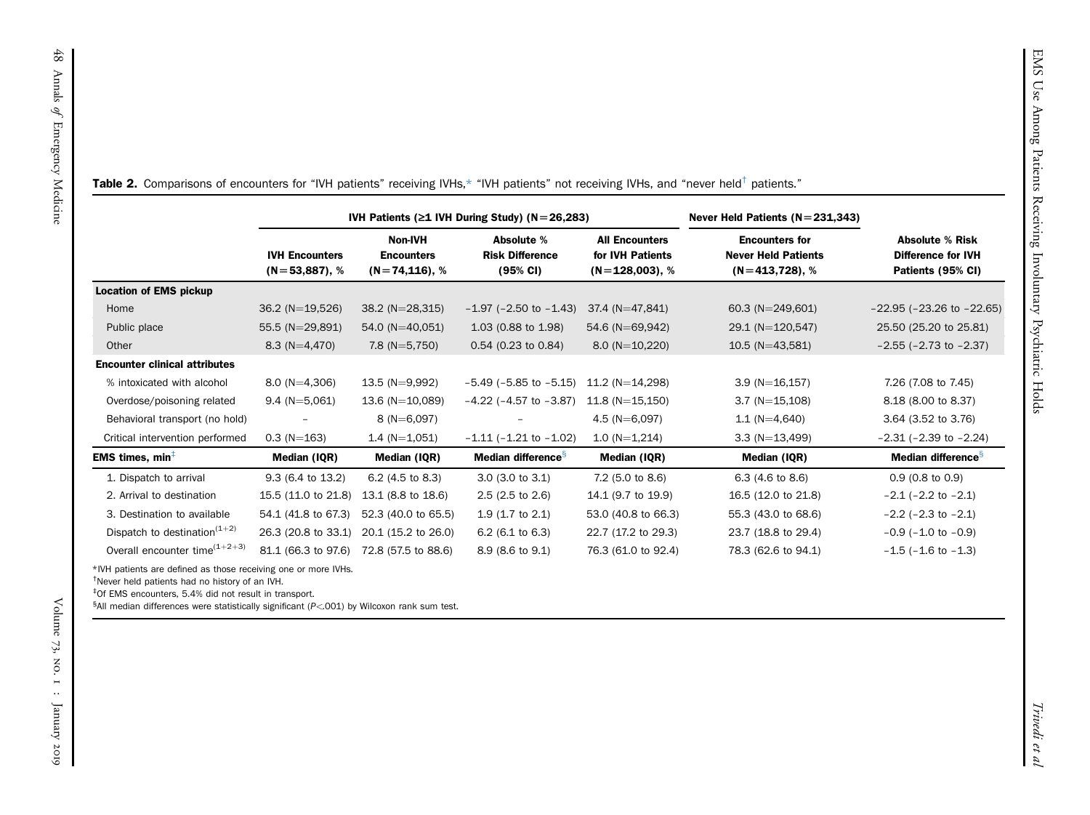|                                                                                                                              | IVH Patients ( $\geq 1$ IVH During Study) ( $N = 26,283$ ) |                                                          |                                                  |                                                                | Never Held Patients $(N=231,343)$                                        |                                                                          |
|------------------------------------------------------------------------------------------------------------------------------|------------------------------------------------------------|----------------------------------------------------------|--------------------------------------------------|----------------------------------------------------------------|--------------------------------------------------------------------------|--------------------------------------------------------------------------|
|                                                                                                                              | <b>IVH Encounters</b><br>$(N=53,887)$ , %                  | <b>Non-IVH</b><br><b>Encounters</b><br>$(N=74, 116)$ , % | Absolute %<br><b>Risk Difference</b><br>(95% CI) | <b>All Encounters</b><br>for IVH Patients<br>$(N=128,003)$ , % | <b>Encounters for</b><br><b>Never Held Patients</b><br>$(N=413,728)$ , % | <b>Absolute % Risk</b><br><b>Difference for IVH</b><br>Patients (95% CI) |
| <b>Location of EMS pickup</b>                                                                                                |                                                            |                                                          |                                                  |                                                                |                                                                          |                                                                          |
| Home                                                                                                                         | 36.2 ( $N=19,526$ )                                        | 38.2 ( $N=28,315$ )                                      | $-1.97$ ( $-2.50$ to $-1.43$ )                   | 37.4 ( $N=47,841$ )                                            | 60.3 ( $N=249,601$ )                                                     | $-22.95$ ( $-23.26$ to $-22.65$ )                                        |
| Public place                                                                                                                 | 55.5 (N=29,891)                                            | 54.0 ( $N=40,051$ )                                      | 1.03 (0.88 to 1.98)                              | 54.6 (N=69,942)                                                | 29.1 (N=120,547)                                                         | 25.50 (25.20 to 25.81)                                                   |
| Other                                                                                                                        | $8.3(N=4,470)$                                             | $7.8$ (N=5,750)                                          | $0.54$ (0.23 to 0.84)                            | $8.0$ (N=10,220)                                               | $10.5$ (N=43,581)                                                        | $-2.55$ ( $-2.73$ to $-2.37$ )                                           |
| <b>Encounter clinical attributes</b>                                                                                         |                                                            |                                                          |                                                  |                                                                |                                                                          |                                                                          |
| % intoxicated with alcohol                                                                                                   | $8.0$ (N=4,306)                                            | 13.5 ( $N=9,992$ )                                       | $-5.49$ ( $-5.85$ to $-5.15$ )                   | 11.2 ( $N=14,298$ )                                            | $3.9(N=16,157)$                                                          | 7.26 (7.08 to 7.45)                                                      |
| Overdose/poisoning related                                                                                                   | $9.4$ (N=5,061)                                            | 13.6 ( $N=10,089$ )                                      | $-4.22$ ( $-4.57$ to $-3.87$ )                   | $11.8$ (N=15,150)                                              | $3.7 (N=15,108)$                                                         | 8.18 (8.00 to 8.37)                                                      |
| Behavioral transport (no hold)                                                                                               |                                                            | $8(N=6,097)$                                             |                                                  | 4.5 ( $N=6,097$ )                                              | 1.1 ( $N=4,640$ )                                                        | 3.64 (3.52 to 3.76)                                                      |
| Critical intervention performed                                                                                              | $0.3$ (N=163)                                              | $1.4$ (N=1,051)                                          | $-1.11$ ( $-1.21$ to $-1.02$ )                   | $1.0(N=1,214)$                                                 | 3.3 ( $N=13,499$ )                                                       | $-2.31$ ( $-2.39$ to $-2.24$ )                                           |
| <b>EMS times, min</b> <sup><math>#</math></sup>                                                                              | Median (IQR)                                               | Median (IQR)                                             | Median difference <sup>s</sup>                   | Median (IQR)                                                   | Median (IQR)                                                             | Median difference <sup>s</sup>                                           |
| 1. Dispatch to arrival                                                                                                       | 9.3 (6.4 to 13.2)                                          | 6.2 (4.5 to 8.3)                                         | $3.0$ (3.0 to $3.1$ )                            | 7.2 (5.0 to 8.6)                                               | 6.3 (4.6 to 8.6)                                                         | $0.9(0.8 \text{ to } 0.9)$                                               |
| 2. Arrival to destination                                                                                                    | 15.5 (11.0 to 21.8)                                        | 13.1 (8.8 to 18.6)                                       | $2.5(2.5 \text{ to } 2.6)$                       | 14.1 (9.7 to 19.9)                                             | 16.5 (12.0 to 21.8)                                                      | $-2.1$ ( $-2.2$ to $-2.1$ )                                              |
| 3. Destination to available                                                                                                  | 54.1 (41.8 to 67.3)                                        | 52.3 (40.0 to 65.5)                                      | $1.9(1.7 \text{ to } 2.1)$                       | 53.0 (40.8 to 66.3)                                            | 55.3 (43.0 to 68.6)                                                      | $-2.2$ ( $-2.3$ to $-2.1$ )                                              |
| Dispatch to destination $(1+2)$                                                                                              | 26.3 (20.8 to 33.1)                                        | 20.1 (15.2 to 26.0)                                      | 6.2 (6.1 to 6.3)                                 | 22.7 (17.2 to 29.3)                                            | 23.7 (18.8 to 29.4)                                                      | $-0.9$ ( $-1.0$ to $-0.9$ )                                              |
| Overall encounter time $(1+2+3)$                                                                                             | 81.1 (66.3 to 97.6)                                        | 72.8 (57.5 to 88.6)                                      | 8.9 (8.6 to 9.1)                                 | 76.3 (61.0 to 92.4)                                            | 78.3 (62.6 to 94.1)                                                      | $-1.5$ ( $-1.6$ to $-1.3$ )                                              |
| *IVH patients are defined as those receiving one or more IVHs.<br><sup>T</sup> Never held patients had no history of an IVH. |                                                            |                                                          |                                                  |                                                                |                                                                          |                                                                          |

Table 2. Comparisons of encounters for "IVH patients" receiving IVHs,\* "IVH patients" not receiving IVHs, and "never held<sup>+</sup> patients."

‡Of EMS encounters, 5.4% did not result in transport.  $$$ All median differences were statistically significant (P<.001) by Wilcoxon rank sum test.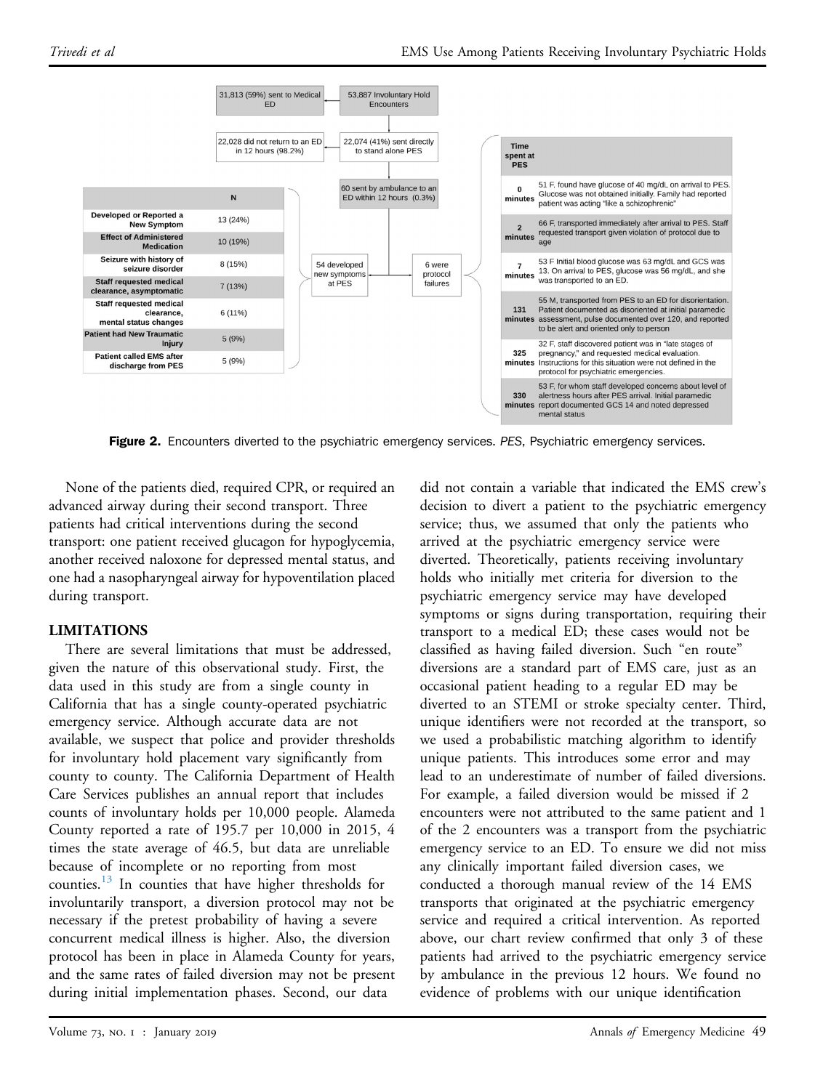

**Figure 2.** Encounters diverted to the psychiatric emergency services. PES, Psychiatric emergency services.

None of the patients died, required CPR, or required an advanced airway during their second transport. Three patients had critical interventions during the second transport: one patient received glucagon for hypoglycemia, another received naloxone for depressed mental status, and one had a nasopharyngeal airway for hypoventilation placed during transport.

## LIMITATIONS

There are several limitations that must be addressed, given the nature of this observational study. First, the data used in this study are from a single county in California that has a single county-operated psychiatric emergency service. Although accurate data are not available, we suspect that police and provider thresholds for involuntary hold placement vary significantly from county to county. The California Department of Health Care Services publishes an annual report that includes counts of involuntary holds per 10,000 people. Alameda County reported a rate of 195.7 per 10,000 in 2015, 4 times the state average of 46.5, but data are unreliable because of incomplete or no reporting from most counties.<sup>13</sup> In counties that have higher thresholds for involuntarily transport, a diversion protocol may not be necessary if the pretest probability of having a severe concurrent medical illness is higher. Also, the diversion protocol has been in place in Alameda County for years, and the same rates of failed diversion may not be present during initial implementation phases. Second, our data

did not contain a variable that indicated the EMS crew's decision to divert a patient to the psychiatric emergency service; thus, we assumed that only the patients who arrived at the psychiatric emergency service were diverted. Theoretically, patients receiving involuntary holds who initially met criteria for diversion to the psychiatric emergency service may have developed symptoms or signs during transportation, requiring their transport to a medical ED; these cases would not be classified as having failed diversion. Such "en route" diversions are a standard part of EMS care, just as an occasional patient heading to a regular ED may be diverted to an STEMI or stroke specialty center. Third, unique identifiers were not recorded at the transport, so we used a probabilistic matching algorithm to identify unique patients. This introduces some error and may lead to an underestimate of number of failed diversions. For example, a failed diversion would be missed if 2 encounters were not attributed to the same patient and 1 of the 2 encounters was a transport from the psychiatric emergency service to an ED. To ensure we did not miss any clinically important failed diversion cases, we conducted a thorough manual review of the 14 EMS transports that originated at the psychiatric emergency service and required a critical intervention. As reported above, our chart review confirmed that only 3 of these patients had arrived to the psychiatric emergency service by ambulance in the previous 12 hours. We found no evidence of problems with our unique identification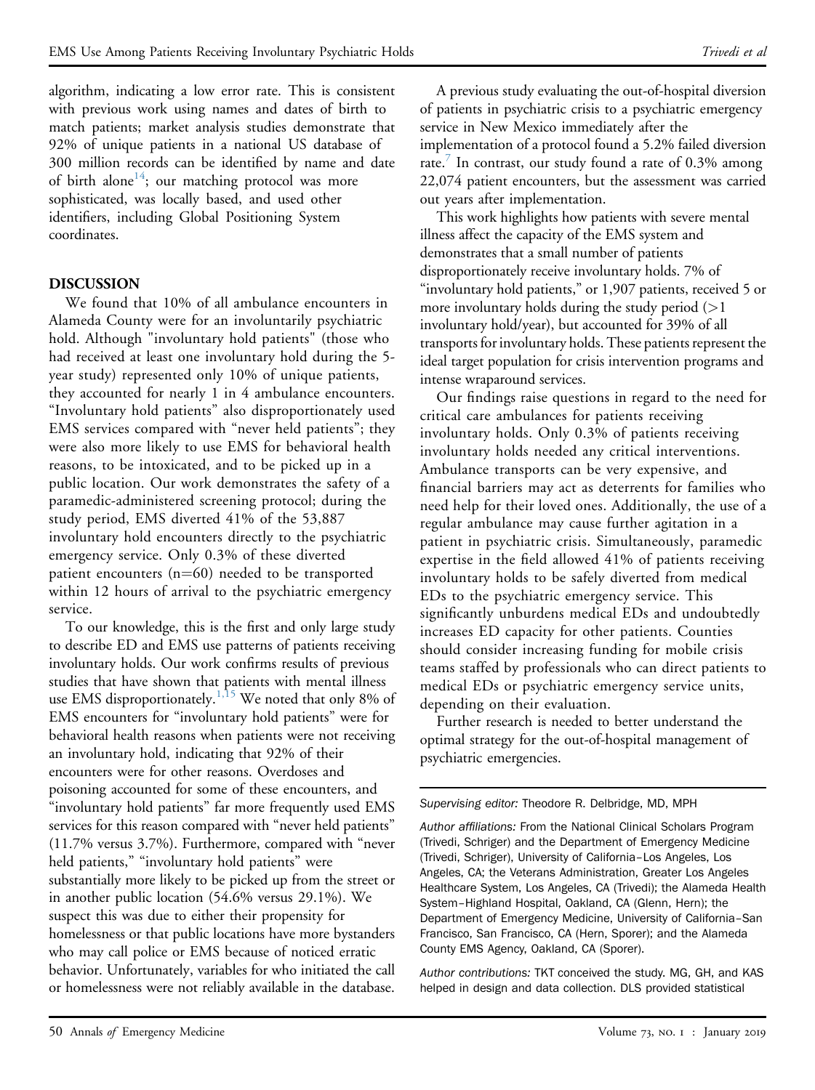algorithm, indicating a low error rate. This is consistent with previous work using names and dates of birth to match patients; market analysis studies demonstrate that 92% of unique patients in a national US database of 300 million records can be identified by name and date of birth alone<sup>14</sup>; our matching protocol was more sophisticated, was locally based, and used other identifiers, including Global Positioning System coordinates.

## DISCUSSION

We found that 10% of all ambulance encounters in Alameda County were for an involuntarily psychiatric hold. Although "involuntary hold patients" (those who had received at least one involuntary hold during the 5 year study) represented only 10% of unique patients, they accounted for nearly 1 in 4 ambulance encounters. "Involuntary hold patients" also disproportionately used EMS services compared with "never held patients"; they were also more likely to use EMS for behavioral health reasons, to be intoxicated, and to be picked up in a public location. Our work demonstrates the safety of a paramedic-administered screening protocol; during the study period, EMS diverted 41% of the 53,887 involuntary hold encounters directly to the psychiatric emergency service. Only 0.3% of these diverted patient encounters  $(n=60)$  needed to be transported within 12 hours of arrival to the psychiatric emergency service.

To our knowledge, this is the first and only large study to describe ED and EMS use patterns of patients receiving involuntary holds. Our work confirms results of previous studies that have shown that patients with mental illness use EMS disproportionately.<sup>1,15</sup> We noted that only 8% of EMS encounters for "involuntary hold patients" were for behavioral health reasons when patients were not receiving an involuntary hold, indicating that 92% of their encounters were for other reasons. Overdoses and poisoning accounted for some of these encounters, and "involuntary hold patients" far more frequently used EMS services for this reason compared with "never held patients" (11.7% versus 3.7%). Furthermore, compared with "never held patients," "involuntary hold patients" were substantially more likely to be picked up from the street or in another public location (54.6% versus 29.1%). We suspect this was due to either their propensity for homelessness or that public locations have more bystanders who may call police or EMS because of noticed erratic behavior. Unfortunately, variables for who initiated the call or homelessness were not reliably available in the database.

A previous study evaluating the out-of-hospital diversion of patients in psychiatric crisis to a psychiatric emergency service in New Mexico immediately after the implementation of a protocol found a 5.2% failed diversion rate. In contrast, our study found a rate of 0.3% among 22,074 patient encounters, but the assessment was carried out years after implementation.

This work highlights how patients with severe mental illness affect the capacity of the EMS system and demonstrates that a small number of patients disproportionately receive involuntary holds. 7% of "involuntary hold patients," or 1,907 patients, received 5 or more involuntary holds during the study period  $(>1)$ involuntary hold/year), but accounted for 39% of all transports for involuntary holds. These patients represent the ideal target population for crisis intervention programs and intense wraparound services.

Our findings raise questions in regard to the need for critical care ambulances for patients receiving involuntary holds. Only 0.3% of patients receiving involuntary holds needed any critical interventions. Ambulance transports can be very expensive, and financial barriers may act as deterrents for families who need help for their loved ones. Additionally, the use of a regular ambulance may cause further agitation in a patient in psychiatric crisis. Simultaneously, paramedic expertise in the field allowed 41% of patients receiving involuntary holds to be safely diverted from medical EDs to the psychiatric emergency service. This significantly unburdens medical EDs and undoubtedly increases ED capacity for other patients. Counties should consider increasing funding for mobile crisis teams staffed by professionals who can direct patients to medical EDs or psychiatric emergency service units, depending on their evaluation.

Further research is needed to better understand the optimal strategy for the out-of-hospital management of psychiatric emergencies.

Supervising editor: Theodore R. Delbridge, MD, MPH

Author affiliations: From the National Clinical Scholars Program (Trivedi, Schriger) and the Department of Emergency Medicine (Trivedi, Schriger), University of California–Los Angeles, Los Angeles, CA; the Veterans Administration, Greater Los Angeles Healthcare System, Los Angeles, CA (Trivedi); the Alameda Health System–Highland Hospital, Oakland, CA (Glenn, Hern); the Department of Emergency Medicine, University of California–San Francisco, San Francisco, CA (Hern, Sporer); and the Alameda County EMS Agency, Oakland, CA (Sporer).

Author contributions: TKT conceived the study. MG, GH, and KAS helped in design and data collection. DLS provided statistical